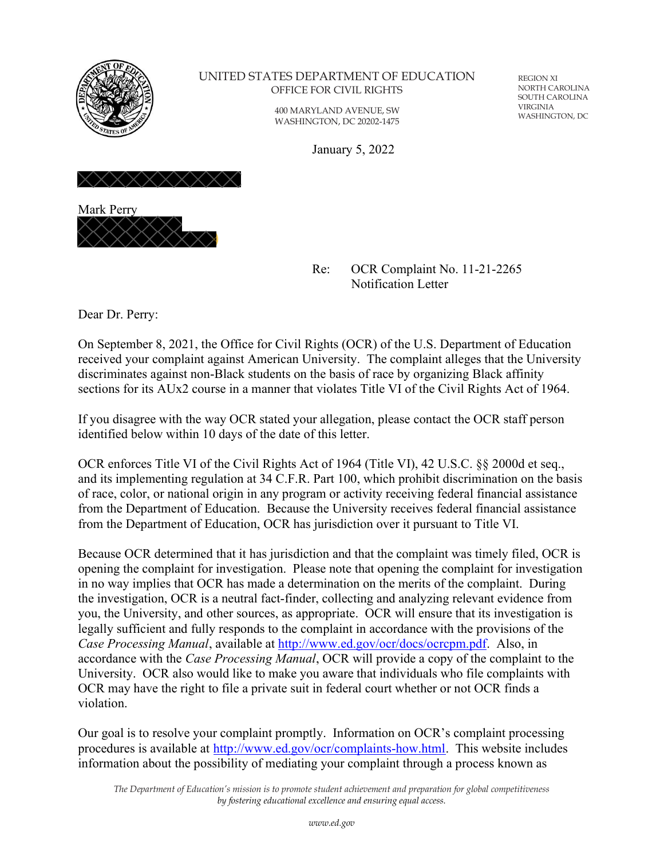

## UNITED STATES DEPARTMENT OF EDUCATION OFFICE FOR CIVIL RIGHTS

400 MARYLAND AVENUE, SW WASHINGTON, DC 20202-1475

REGION XI NORTH CAROLINA SOUTH CAROLINA VIRGINIA WASHINGTON, DC

January 5, 2022





Re: OCR Complaint No. 11-21-2265 Notification Letter

Dear Dr. Perry:

On September 8, 2021, the Office for Civil Rights (OCR) of the U.S. Department of Education received your complaint against American University. The complaint alleges that the University discriminates against non-Black students on the basis of race by organizing Black affinity sections for its AUx2 course in a manner that violates Title VI of the Civil Rights Act of 1964.

If you disagree with the way OCR stated your allegation, please contact the OCR staff person identified below within 10 days of the date of this letter.

OCR enforces Title VI of the Civil Rights Act of 1964 (Title VI), 42 U.S.C. §§ 2000d et seq., and its implementing regulation at 34 C.F.R. Part 100, which prohibit discrimination on the basis of race, color, or national origin in any program or activity receiving federal financial assistance from the Department of Education. Because the University receives federal financial assistance from the Department of Education, OCR has jurisdiction over it pursuant to Title VI.

Because OCR determined that it has jurisdiction and that the complaint was timely filed, OCR is opening the complaint for investigation. Please note that opening the complaint for investigation in no way implies that OCR has made a determination on the merits of the complaint. During the investigation, OCR is a neutral fact-finder, collecting and analyzing relevant evidence from you, the University, and other sources, as appropriate. OCR will ensure that its investigation is legally sufficient and fully responds to the complaint in accordance with the provisions of the *Case Processing Manual*, available at http://www.ed.gov/ocr/docs/ocrcpm.pdf. Also, in accordance with the *Case Processing Manual*, OCR will provide a copy of the complaint to the University. OCR also would like to make you aware that individuals who file complaints with OCR may have the right to file a private suit in federal court whether or not OCR finds a violation.

Our goal is to resolve your complaint promptly. Information on OCR's complaint processing procedures is available at http://www.ed.gov/ocr/complaints-how.html. This website includes information about the possibility of mediating your complaint through a process known as